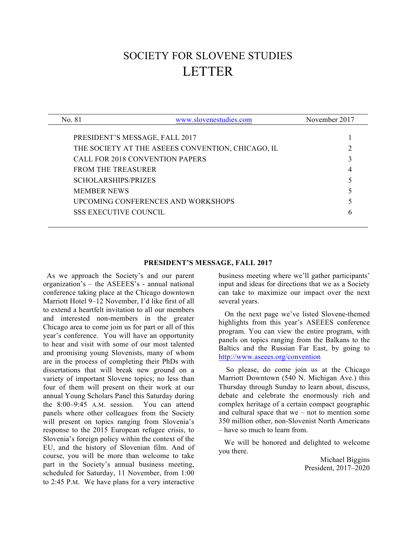# SOCIETY FOR SLOVENE STUDIES LETTER

| No. 81                                            | www.slovenestudies.com | November 2017 |
|---------------------------------------------------|------------------------|---------------|
|                                                   |                        |               |
| PRESIDENT'S MESSAGE, FALL 2017                    |                        |               |
| THE SOCIETY AT THE ASEEES CONVENTION, CHICAGO, IL |                        |               |
| <b>CALL FOR 2018 CONVENTION PAPERS</b>            |                        |               |
| <b>FROM THE TREASURER</b>                         |                        |               |
| <b>SCHOLARSHIPS/PRIZES</b>                        |                        |               |
| <b>MEMBER NEWS</b>                                |                        |               |
| UPCOMING CONFERENCES AND WORKSHOPS                |                        |               |
| <b>SSS EXECUTIVE COUNCIL</b>                      |                        | h             |
|                                                   |                        |               |

#### **PRESIDENT'S MESSAGE, FALL 2017**

 As we approach the Society's and our parent organization's – the ASEEES's - annual national conference taking place at the Chicago downtown Marriott Hotel 9–12 November, I'd like first of all to extend a heartfelt invitation to all our members and interested non-members in the greater Chicago area to come join us for part or all of this year's conference. You will have an opportunity to hear and visit with some of our most talented and promising young Slovenists, many of whom are in the process of completing their PhDs with dissertations that will break new ground on a variety of important Slovene topics; no less than four of them will present on their work at our annual Young Scholars Panel this Saturday during the 8:00–9:45 A.M. session. You can attend panels where other colleagues from the Society will present on topics ranging from Slovenia's response to the 2015 European refugee crisis, to Slovenia's foreign policy within the context of the EU, and the history of Slovenian film. And of course, you will be more than welcome to take part in the Society's annual business meeting, scheduled for Saturday, 11 November, from 1:00 to 2:45 P.M. We have plans for a very interactive business meeting where we'll gather participants' input and ideas for directions that we as a Society can take to maximize our impact over the next several years.

On the next page we've listed Slovene-themed highlights from this year's ASEEES conference program. You can view the entire program, with panels on topics ranging from the Balkans to the Baltics and the Russian Far East, by going to http://www.aseees.org/convention

 So please, do come join us at the Chicago Marriott Downtown (540 N. Michigan Ave.) this Thursday through Sunday to learn about, discuss, debate and celebrate the enormously rich and complex heritage of a certain compact geographic and cultural space that  $we - not$  to mention some 350 million other, non-Slovenist North Americans – have so much to learn from.

 We will be honored and delighted to welcome you there.

> Michael Biggins President, 2017–2020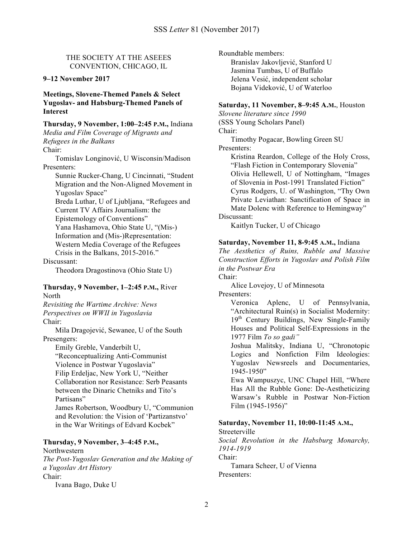THE SOCIETY AT THE ASEEES CONVENTION, CHICAGO, IL

# **9–12 November 2017**

**Meetings, Slovene-Themed Panels & Select Yugoslav- and Habsburg-Themed Panels of Interest**

**Thursday, 9 November, 1:00–2:45 P.M.,** Indiana *Media and Film Coverage of Migrants and Refugees in the Balkans* Chair:

Tomislav Longinović, U Wisconsin/Madison Presenters:

Sunnie Rucker-Chang, U Cincinnati, "Student Migration and the Non-Aligned Movement in Yugoslav Space"

Breda Luthar, U of Ljubljana, "Refugees and Current TV Affairs Journalism: the Epistemology of Conventions"

Yana Hashamova, Ohio State U, "(Mis-) Information and (Mis-)Representation: Western Media Coverage of the Refugees Crisis in the Balkans, 2015-2016."

Discussant:

Theodora Dragostinova (Ohio State U)

#### **Thursday, 9 November, 1–2:45 P.M.,** River North

*Revisiting the Wartime Archive: News Perspectives on WWII in Yugoslavia* Chair:

Mila Dragojević, Sewanee, U of the South Presengers:

Emily Greble, Vanderbilt U, "Reconceptualizing Anti-Communist Violence in Postwar Yugoslavia" Filip Erdeljac, New York U, "Neither Collaboration nor Resistance: Serb Peasants between the Dinaric Chetniks and Tito's Partisans" James Robertson, Woodbury U, "Communion

and Revolution: the Vision of 'Partizanstvo' in the War Writings of Edvard Kocbek"

# **Thursday, 9 November, 3–4:45 P.M.,**

**Northwestern** *The Post-Yugoslav Generation and the Making of a Yugoslav Art History* Chair: Ivana Bago, Duke U

Roundtable members:

Branislav Jakovljević, Stanford U Jasmina Tumbas, U of Buffalo Jelena Vesić, independent scholar Bojana Videković, U of Waterloo

#### **Saturday, 11 November, 8–9:45 A.M.**, Houston

*Slovene literature since 1990*  (SSS Young Scholars Panel) Chair:

Timothy Pogacar, Bowling Green SU Presenters:

Kristina Reardon, College of the Holy Cross, "Flash Fiction in Contemporary Slovenia" Olivia Hellewell, U of Nottingham, "Images of Slovenia in Post-1991 Translated Fiction" Cyrus Rodgers, U. of Washington, "Thy Own Private Leviathan: Sanctification of Space in Mate Dolenc with Reference to Hemingway" Discussant:

Kaitlyn Tucker, U of Chicago

# **Saturday, November 11, 8-9:45 A.M.,** Indiana

*The Aesthetics of Ruins, Rubble and Massive Construction Efforts in Yugoslav and Polish Film in the Postwar Era* Chair:

Alice Lovejoy, U of Minnesota Presenters:

> Veronica Aplenc, U of Pennsylvania, "Architectural Ruin(s) in Socialist Modernity: 19<sup>th</sup> Century Buildings, New Single-Family Houses and Political Self-Expressions in the 1977 Film *To so gadi"*

> Joshua Malitsky, Indiana U, "Chronotopic Logics and Nonfiction Film Ideologies: Yugoslav Newsreels and Documentaries, 1945-1950"

> Ewa Wampuszyc, UNC Chapel Hill, "Where Has All the Rubble Gone: De-Aestheticizing Warsaw's Rubble in Postwar Non-Fiction Film (1945-1956)"

# **Saturday, November 11, 10:00-11:45 A.M.,**

Streeterville

*Social Revolution in the Habsburg Monarchy, 1914-1919*

Chair:

Tamara Scheer, U of Vienna Presenters: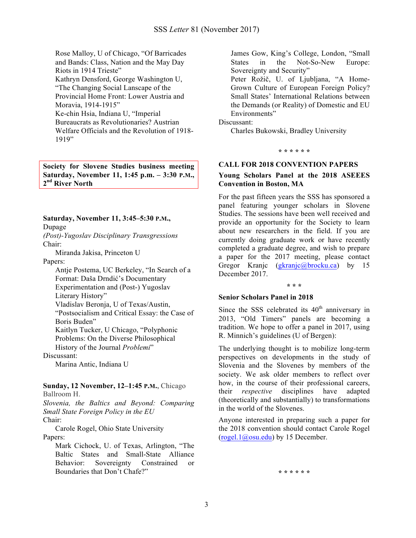Rose Malloy, U of Chicago, "Of Barricades and Bands: Class, Nation and the May Day Riots in 1914 Trieste" Kathryn Densford, George Washington U, "The Changing Social Lanscape of the Provincial Home Front: Lower Austria and Moravia, 1914-1915" Ke-chin Hsia, Indiana U, "Imperial Bureaucrats as Revolutionaries? Austrian Welfare Officials and the Revolution of 1918- 1919"

**Society for Slovene Studies business meeting Saturday, November 11, 1:45 p.m. – 3:30 P.M., 2nd River North**

**Saturday, November 11, 3:45–5:30 P.M.,** 

Dupage

*(Post)-Yugoslav Disciplinary Transgressions* Chair:

Miranda Jakisa, Princeton U

Papers:

Antje Postema, UC Berkeley, "In Search of a Format: Daša Drndić's Documentary Experimentation and (Post-) Yugoslav Literary History" Vladislav Beronja, U of Texas/Austin, "Postsocialism and Critical Essay: the Case of Boris Buden" Kaitlyn Tucker, U Chicago, "Polyphonic Problems: On the Diverse Philosophical History of the Journal *Problemi*" Discussant:

Marina Antic, Indiana U

# **Sunday, 12 November, 12–1:45 P.M.**, Chicago

Ballroom H.

*Slovenia, the Baltics and Beyond: Comparing Small State Foreign Policy in the EU* Chair:

Carole Rogel, Ohio State University Papers:

Mark Cichock, U. of Texas, Arlington, "The Baltic States and Small-State Alliance Behavior: Sovereignty Constrained or Boundaries that Don't Chafe?"

James Gow, King's College, London, "Small States in the Not-So-New Europe: Sovereignty and Security"

Peter Rožič, U. of Ljubljana, "A Home-Grown Culture of European Foreign Policy? Small States' International Relations between the Demands (or Reality) of Domestic and EU Environments"

Discussant:

Charles Bukowski, Bradley University

**\* \* \* \* \* \***

# **CALL FOR 2018 CONVENTION PAPERS**

# **Young Scholars Panel at the 2018 ASEEES Convention in Boston, MA**

For the past fifteen years the SSS has sponsored a panel featuring younger scholars in Slovene Studies. The sessions have been well received and provide an opportunity for the Society to learn about new researchers in the field. If you are currently doing graduate work or have recently completed a graduate degree, and wish to prepare a paper for the 2017 meeting, please contact Gregor Kranjc (gkranjc@brocku.ca) by 15 December 2017.

#### **\* \* \***

# **Senior Scholars Panel in 2018**

Since the SSS celebrated its  $40<sup>th</sup>$  anniversary in 2013, "Old Timers" panels are becoming a tradition. We hope to offer a panel in 2017, using R. Minnich's guidelines (U of Bergen):

The underlying thought is to mobilize long-term perspectives on developments in the study of Slovenia and the Slovenes by members of the society. We ask older members to reflect over how, in the course of their professional careers, their *respective* disciplines have adapted (theoretically and substantially) to transformations in the world of the Slovenes.

Anyone interested in preparing such a paper for the 2018 convention should contact Carole Rogel (rogel.1@osu.edu) by 15 December.

**\* \* \* \* \* \***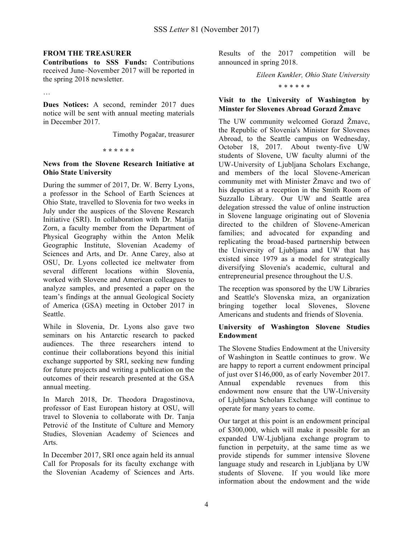#### **FROM THE TREASURER**

**Contributions to SSS Funds:** Contributions received June–November 2017 will be reported in the spring 2018 newsletter.

…

**Dues Notices:** A second, reminder 2017 dues notice will be sent with annual meeting materials in December 2017.

Timothy Pogačar, treasurer

**\* \* \* \* \* \***

# **News from the Slovene Research Initiative at Ohio State University**

During the summer of 2017, Dr. W. Berry Lyons, a professor in the School of Earth Sciences at Ohio State, travelled to Slovenia for two weeks in July under the auspices of the Slovene Research Initiative (SRI). In collaboration with Dr. Matija Zorn, a faculty member from the Department of Physical Geography within the Anton Melik Geographic Institute, Slovenian Academy of Sciences and Arts, and Dr. Anne Carey, also at OSU, Dr. Lyons collected ice meltwater from several different locations within Slovenia, worked with Slovene and American colleagues to analyze samples, and presented a paper on the team's findings at the annual Geological Society of America (GSA) meeting in October 2017 in Seattle.

While in Slovenia, Dr. Lyons also gave two seminars on his Antarctic research to packed audiences. The three researchers intend to continue their collaborations beyond this initial exchange supported by SRI, seeking new funding for future projects and writing a publication on the outcomes of their research presented at the GSA annual meeting.

In March 2018, Dr. Theodora Dragostinova, professor of East European history at OSU, will travel to Slovenia to collaborate with Dr. Tanja Petrović of the Institute of Culture and Memory Studies, Slovenian Academy of Sciences and Arts.

In December 2017, SRI once again held its annual Call for Proposals for its faculty exchange with the Slovenian Academy of Sciences and Arts.

Results of the 2017 competition will be announced in spring 2018.

*Eileen Kunkler, Ohio State University*

\* \* \* \* \* \*

# **Visit to the University of Washington by Minster for Slovenes Abroad Gorazd Žmavc**

The UW community welcomed Gorazd Žmavc, the Republic of Slovenia's Minister for Slovenes Abroad, to the Seattle campus on Wednesday, October 18, 2017. About twenty-five UW students of Slovene, UW faculty alumni of the UW-University of Ljubljana Scholars Exchange, and members of the local Slovene-American community met with Minister Žmavc and two of his deputies at a reception in the Smith Room of Suzzallo Library. Our UW and Seattle area delegation stressed the value of online instruction in Slovene language originating out of Slovenia directed to the children of Slovene-American families; and advocated for expanding and replicating the broad-based partnership between the University of Ljubljana and UW that has existed since 1979 as a model for strategically diversifying Slovenia's academic, cultural and entrepreneurial presence throughout the U.S.

The reception was sponsored by the UW Libraries and Seattle's Slovenska miza, an organization bringing together local Slovenes, Slovene Americans and students and friends of Slovenia.

# **University of Washington Slovene Studies Endowment**

The Slovene Studies Endowment at the University of Washington in Seattle continues to grow. We are happy to report a current endowment principal of just over \$146,000, as of early November 2017. Annual expendable revenues from this endowment now ensure that the UW-University of Ljubljana Scholars Exchange will continue to operate for many years to come.

Our target at this point is an endowment principal of \$300,000, which will make it possible for an expanded UW-Ljubljana exchange program to function in perpetuity, at the same time as we provide stipends for summer intensive Slovene language study and research in Liubliana by UW students of Slovene. If you would like more information about the endowment and the wide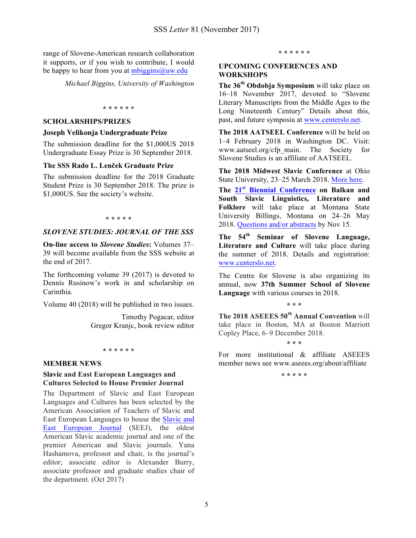range of Slovene-American research collaboration it supports, or if you wish to contribute, I would be happy to hear from you at  $mbiggins@$ uw.edu

*Michael Biggins, University of Washington* 

#### **\* \* \* \* \* \***

### **SCHOLARSHIPS/PRIZES**

#### **Joseph Velikonja Undergraduate Prize**

The submission deadline for the \$1,000US 2018 Undergraduate Essay Prize is 30 September 2018.

# **The SSS Rado L. Lenček Graduate Prize**

The submission deadline for the 2018 Graduate Student Prize is 30 September 2018. The prize is \$1,000US. See the society's website.

#### **\* \* \* \* \***

# *SLOVENE STUDIES: JOURNAL OF THE SSS*

**On-line access to** *Slovene Studies***:** Volumes 37– 39 will become available from the SSS website at the end of 2017.

The forthcoming volume 39 (2017) is devoted to Dennis Rusinow's work in and scholarship on Carinthia.

Volume 40 (2018) will be published in two issues.

Timothy Pogacar, editor Gregor Kranjc, book review editor

**\* \* \* \* \* \***

#### **MEMBER NEWS**

#### **Slavic and East European Languages and Cultures Selected to House Premier Journal**

The Department of Slavic and East European Languages and Cultures has been selected by the American Association of Teachers of Slavic and East European Languages to house the Slavic and East European Journal (SEEJ), the oldest American Slavic academic journal and one of the premier American and Slavic journals. Yana Hashamova, professor and chair, is the journal's editor; associate editor is Alexander Burry, associate professor and graduate studies chair of the department. (Oct 2017)

#### **\* \* \* \* \* \***

#### **UPCOMING CONFERENCES AND WORKSHOPS**

**The 36th Obdobja Symposium** will take place on 16–18 November 2017, devoted to "Slovene Literary Manuscripts from the Middle Ages to the Long Nineteenth Century" Details about this, past, and future symposia at www.centerslo.net.

**The 2018 AATSEEL Conference** will be held on 1–4 February 2018 in Washington DC. Visit: www.aatseel.org/cfp\_main. The Society for Slovene Studies is an affiliate of AATSEEL.

**The 2018 Midwest Slavic Conference** at Ohio State University, 23–25 March 2018. More here.

**The 21st Biennial Conference on Balkan and South Slavic Linguistics, Literature and Folklore** will take place at Montana State University Billings, Montana on 24–26 May 2018. Questions and/or abstracts by Nov 15.

**The 54th Seminar of Slovene Language, Literature and Culture** will take place during the summer of 2018. Details and registration: www.centerslo.net.

The Centre for Slovene is also organizing its annual, now **37th Summer School of Slovene Language** with various courses in 2018.

**\* \* \***

**The 2018 ASEEES 50th Annual Convention** will take place in Boston, MA at Boston Marriott Copley Place, 6–9 December 2018.

**\* \* \***

For more institutional & affiliate ASEEES member news see www.aseees.org/about/affiliate

**\* \* \* \* \***